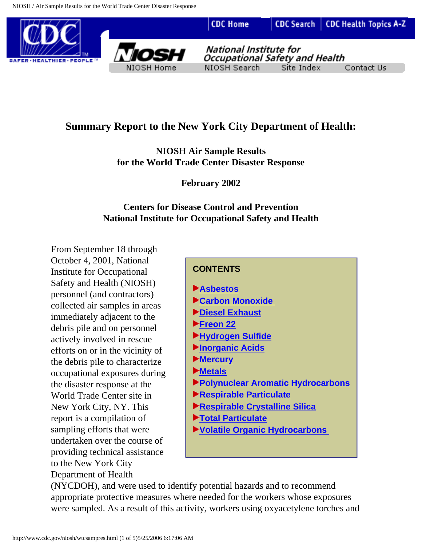

# <span id="page-0-0"></span>**Summary Report to the New York City Department of Health:**

**NIOSH Air Sample Results for the World Trade Center Disaster Response**

**February 2002**

#### **Centers for Disease Control and Prevention National Institute for Occupational Safety and Health**

From September 18 through October 4, 2001, National Institute for Occupational Safety and Health (NIOSH) personnel (and contractors) collected air samples in areas immediately adjacent to the debris pile and on personnel actively involved in rescue efforts on or in the vicinity of the debris pile to characterize occupational exposures during the disaster response at the World Trade Center site in New York City, NY. This report is a compilation of sampling efforts that were undertaken over the course of providing technical assistance to the New York City Department of Health

#### **CONTENTS**

- **[Asbestos](#page-1-0)**
- **[Carbon Monoxide](#page-1-1)**
- **[Diesel Exhaust](#page-2-0)**
- **[Freon 22](#page-2-1)**
- **[Hydrogen Sulfide](#page-2-2)**
- **[Inorganic Acids](#page-2-3)**
- **[Mercury](#page-2-4)**
- **[Metals](#page-2-5)**
- **[Polynuclear Aromatic Hydrocarbons](#page-3-0)**
- **[Respirable Particulate](#page-3-1)**
- **[Respirable Crystalline Silica](#page-3-2)**
- **[Total Particulate](#page-3-3)**
- **[Volatile Organic Hydrocarbons](#page-3-4)**

(NYCDOH), and were used to identify potential hazards and to recommend appropriate protective measures where needed for the workers whose exposures were sampled. As a result of this activity, workers using oxyacetylene torches and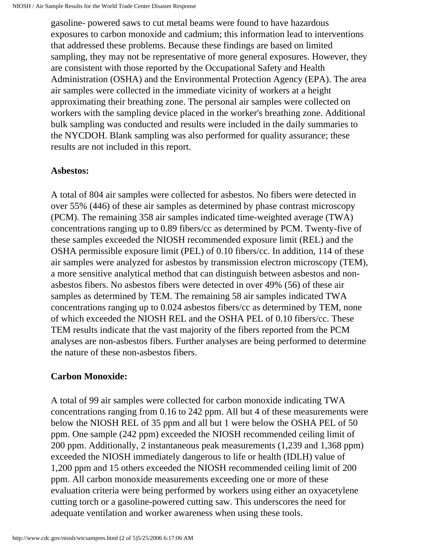gasoline- powered saws to cut metal beams were found to have hazardous exposures to carbon monoxide and cadmium; this information lead to interventions that addressed these problems. Because these findings are based on limited sampling, they may not be representative of more general exposures. However, they are consistent with those reported by the Occupational Safety and Health Administration (OSHA) and the Environmental Protection Agency (EPA). The area air samples were collected in the immediate vicinity of workers at a height approximating their breathing zone. The personal air samples were collected on workers with the sampling device placed in the worker's breathing zone. Additional bulk sampling was conducted and results were included in the daily summaries to the NYCDOH. Blank sampling was also performed for quality assurance; these results are not included in this report.

#### <span id="page-1-0"></span>**Asbestos:**

A total of 804 air samples were collected for asbestos. No fibers were detected in over 55% (446) of these air samples as determined by phase contrast microscopy (PCM). The remaining 358 air samples indicated time-weighted average (TWA) concentrations ranging up to 0.89 fibers/cc as determined by PCM. Twenty-five of these samples exceeded the NIOSH recommended exposure limit (REL) and the OSHA permissible exposure limit (PEL) of 0.10 fibers/cc. In addition, 114 of these air samples were analyzed for asbestos by transmission electron microscopy (TEM), a more sensitive analytical method that can distinguish between asbestos and nonasbestos fibers. No asbestos fibers were detected in over 49% (56) of these air samples as determined by TEM. The remaining 58 air samples indicated TWA concentrations ranging up to 0.024 asbestos fibers/cc as determined by TEM, none of which exceeded the NIOSH REL and the OSHA PEL of 0.10 fibers/cc. These TEM results indicate that the vast majority of the fibers reported from the PCM analyses are non-asbestos fibers. Further analyses are being performed to determine the nature of these non-asbestos fibers.

#### <span id="page-1-1"></span>**Carbon Monoxide:**

A total of 99 air samples were collected for carbon monoxide indicating TWA concentrations ranging from 0.16 to 242 ppm. All but 4 of these measurements were below the NIOSH REL of 35 ppm and all but 1 were below the OSHA PEL of 50 ppm. One sample (242 ppm) exceeded the NIOSH recommended ceiling limit of 200 ppm. Additionally, 2 instantaneous peak measurements (1,239 and 1,368 ppm) exceeded the NIOSH immediately dangerous to life or health (IDLH) value of 1,200 ppm and 15 others exceeded the NIOSH recommended ceiling limit of 200 ppm. All carbon monoxide measurements exceeding one or more of these evaluation criteria were being performed by workers using either an oxyacetylene cutting torch or a gasoline-powered cutting saw. This underscores the need for adequate ventilation and worker awareness when using these tools.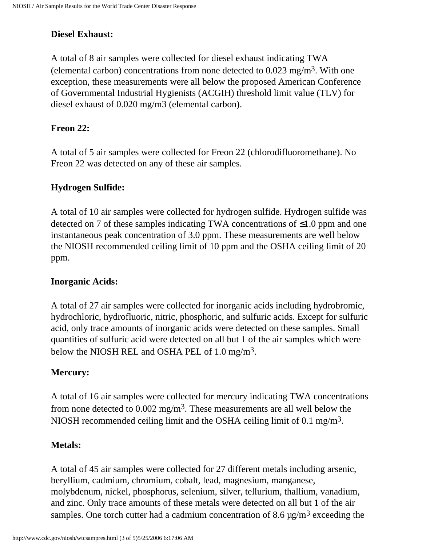# <span id="page-2-0"></span>**Diesel Exhaust:**

A total of 8 air samples were collected for diesel exhaust indicating TWA (elemental carbon) concentrations from none detected to  $0.023 \text{ mg/m}^3$ . With one exception, these measurements were all below the proposed American Conference of Governmental Industrial Hygienists (ACGIH) threshold limit value (TLV) for diesel exhaust of 0.020 mg/m3 (elemental carbon).

### <span id="page-2-1"></span>**Freon 22:**

A total of 5 air samples were collected for Freon 22 (chlorodifluoromethane). No Freon 22 was detected on any of these air samples.

### <span id="page-2-2"></span>**Hydrogen Sulfide:**

A total of 10 air samples were collected for hydrogen sulfide. Hydrogen sulfide was detected on 7 of these samples indicating TWA concentrations of  $\leq 1.0$  ppm and one instantaneous peak concentration of 3.0 ppm. These measurements are well below the NIOSH recommended ceiling limit of 10 ppm and the OSHA ceiling limit of 20 ppm.

#### <span id="page-2-3"></span>**Inorganic Acids:**

A total of 27 air samples were collected for inorganic acids including hydrobromic, hydrochloric, hydrofluoric, nitric, phosphoric, and sulfuric acids. Except for sulfuric acid, only trace amounts of inorganic acids were detected on these samples. Small quantities of sulfuric acid were detected on all but 1 of the air samples which were below the NIOSH REL and OSHA PEL of 1.0 mg/m<sup>3</sup>.

### <span id="page-2-4"></span>**Mercury:**

A total of 16 air samples were collected for mercury indicating TWA concentrations from none detected to  $0.002$  mg/m<sup>3</sup>. These measurements are all well below the NIOSH recommended ceiling limit and the OSHA ceiling limit of 0.1 mg/m3.

#### <span id="page-2-5"></span>**Metals:**

A total of 45 air samples were collected for 27 different metals including arsenic, beryllium, cadmium, chromium, cobalt, lead, magnesium, manganese, molybdenum, nickel, phosphorus, selenium, silver, tellurium, thallium, vanadium, and zinc. Only trace amounts of these metals were detected on all but 1 of the air samples. One torch cutter had a cadmium concentration of 8.6  $\mu$ g/m<sup>3</sup> exceeding the